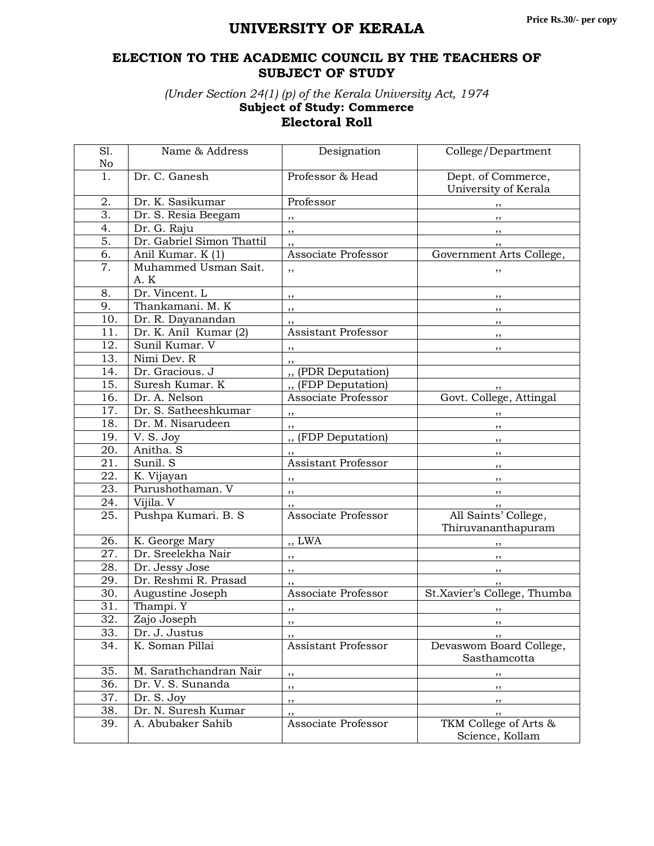## **UNIVERSITY OF KERALA**

## **ELECTION TO THE ACADEMIC COUNCIL BY THE TEACHERS OF SUBJECT OF STUDY**

*(Under Section 24(1) (p) of the Kerala University Act, 1974* **Subject of Study: Commerce**

## **Electoral Roll**

| S1.               | Name & Address              | Designation                | College/Department                         |
|-------------------|-----------------------------|----------------------------|--------------------------------------------|
| No                |                             |                            |                                            |
| 1.                | Dr. C. Ganesh               | Professor & Head           | Dept. of Commerce,                         |
|                   |                             |                            | University of Kerala                       |
| 2.                | Dr. K. Sasikumar            | Professor                  | ,,                                         |
| $\overline{3}$ .  | Dr. S. Resia Beegam         | ,,                         | ,,                                         |
| $\overline{4}$ .  | Dr. G. Raju                 | , ,                        | , ,                                        |
| $\overline{5}$ .  | Dr. Gabriel Simon Thattil   |                            |                                            |
| 6.                | Anil Kumar. K (1)           | Associate Professor        | Government Arts College,                   |
| 7.                | Muhammed Usman Sait.<br>A.K | ,,                         | ,,                                         |
| 8.                | Dr. Vincent. L              | ,,                         | ,,                                         |
| 9.                | Thankamani. M. K            | ,,                         | ,,                                         |
| 10.               | Dr. R. Dayanandan           | ,,                         | ,,                                         |
| 11.               | Dr. K. Anil Kumar $(2)$     | <b>Assistant Professor</b> | $, \,$                                     |
| 12.               | Sunil Kumar. V              | , ,                        | $, \,$                                     |
| 13.               | Nimi Dev. R                 |                            |                                            |
| 14.               | Dr. Gracious. J             | ,,<br>" (PDR Deputation)   |                                            |
| 15.               | Suresh Kumar. K             | " (FDP Deputation)         |                                            |
| 16.               | Dr. A. Nelson               | Associate Professor        | Govt. College, Attingal                    |
| 17.               | Dr. S. Satheeshkumar        |                            |                                            |
| 18.               | Dr. M. Nisarudeen           | , ,                        |                                            |
|                   |                             | ,,                         | ,,                                         |
| 19.               | $\overline{V}$ . S. Joy     | " (FDP Deputation)         | ,,                                         |
| $\overline{20}$ . | Anitha. S                   |                            | ,,                                         |
| 21.               | Sunil. S                    | <b>Assistant Professor</b> | ,,                                         |
| 22.               | K. Vijayan                  | ,,                         |                                            |
| 23.               | Purushothaman. V            | $, \,$                     | ,,                                         |
| 24.               | Vijila. V                   | ,,                         | , ,                                        |
| 25.               | Pushpa Kumari. B. S         | Associate Professor        | All Saints' College,<br>Thiruvananthapuram |
| 26.               | K. George Mary              | ,, LWA                     |                                            |
| 27.               | Dr. Sreelekha Nair          | , ,                        | , ,                                        |
| 28.               | Dr. Jessy Jose              | $, \,$                     | ,,                                         |
| 29.               | Dr. Reshmi R. Prasad        |                            |                                            |
| 30.               | Augustine Joseph            | Associate Professor        | St.Xavier's College, Thumba                |
| 31.               | Thampi. Y                   | ,,                         |                                            |
| 32.               | Zajo Joseph                 | $\ddotsc$                  |                                            |
| 33.               | Dr. J. Justus               | ,,                         | ,,                                         |
| 34.               | K. Soman Pillai             | Assistant Professor        | Devaswom Board College,                    |
|                   |                             |                            | Sasthamcotta                               |
| 35.               | M. Sarathchandran Nair      | ,,                         | ,,                                         |
| 36.               | Dr. V. S. Sunanda           | ,,                         | ,,                                         |
| 37.               | Dr. S. Joy                  | ,,                         | ,,                                         |
| 38.               | Dr. N. Suresh Kumar         | ,,                         | ,,                                         |
| 39.               | A. Abubaker Sahib           | Associate Professor        | TKM College of Arts &                      |
|                   |                             |                            | Science, Kollam                            |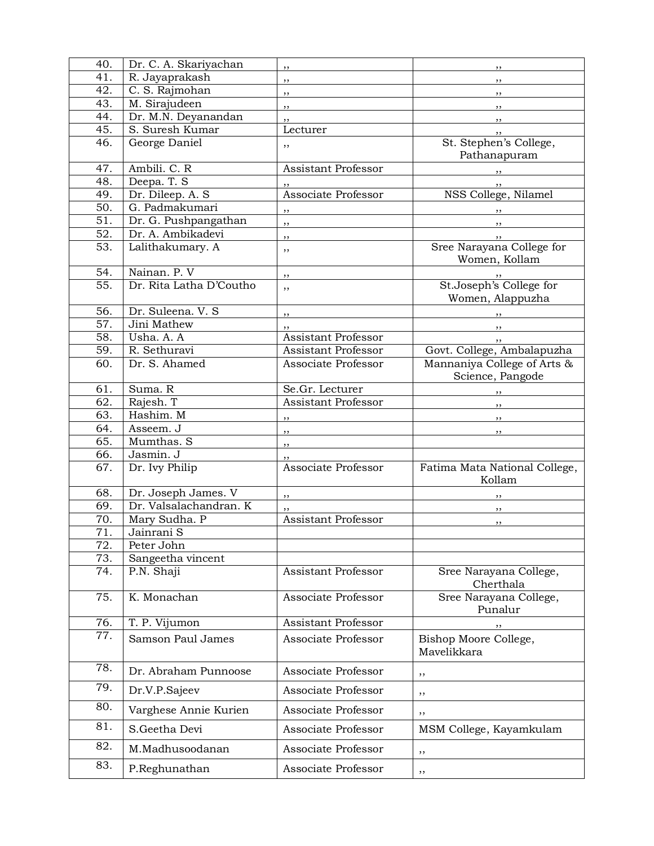| 40.               | Dr. C. A. Skariyachan   | ,,                         | ,,                                              |
|-------------------|-------------------------|----------------------------|-------------------------------------------------|
| 41.               | R. Jayaprakash          | ,,                         | ,,                                              |
| 42.               | C. S. Rajmohan          | $, \,$                     | ,,                                              |
| 43.               | M. Sirajudeen           | ,,                         | $, \,$                                          |
| 44.               | Dr. M.N. Deyanandan     | ,,                         | $, \,$                                          |
| 45.               | S. Suresh Kumar         | Lecturer                   | , ,                                             |
| 46.               | George Daniel           | ,,                         | St. Stephen's College,<br>Pathanapuram          |
| 47.               | Ambili. C. R            | Assistant Professor        |                                                 |
| 48.               | Deepa. T. S             |                            | , ,                                             |
| 49.               | Dr. Dileep. A. S        | Associate Professor        | NSS College, Nilamel                            |
| 50.               | G. Padmakumari          |                            |                                                 |
| 51.               | Dr. G. Pushpangathan    | ,,                         |                                                 |
| $\overline{52}$ . | Dr. A. Ambikadevi       | ,,                         | ,,                                              |
| $\overline{53}$ . | Lalithakumary. A        | ,,                         | $, \,$<br>Sree Narayana College for             |
|                   |                         | ,,                         | Women, Kollam                                   |
| 54.               | Nainan. P. V            | $, \,$                     | , ,                                             |
| 55.               | Dr. Rita Latha D'Coutho | ,,                         | St.Joseph's College for<br>Women, Alappuzha     |
| 56.               | Dr. Suleena. V. S       | ,,                         |                                                 |
| 57.               | Jini Mathew             | ,,                         | ,,                                              |
| 58.               | Usha. A. A              | <b>Assistant Professor</b> |                                                 |
| 59.               | R. Sethuravi            | <b>Assistant Professor</b> | Govt. College, Ambalapuzha                      |
| 60.               | Dr. S. Ahamed           | Associate Professor        | Mannaniya College of Arts &<br>Science, Pangode |
| 61.               | Suma. R                 | Se.Gr. Lecturer            |                                                 |
| $\overline{62}$ . | Rajesh. T               | <b>Assistant Professor</b> | $\overline{\phantom{a}}$                        |
| 63.               | Hashim. M               | $\overline{\phantom{a}}$   | $\overline{\phantom{a}}$                        |
| 64.               | Asseem. J               |                            | $, \, \,$                                       |
| 65.               | Mumthas. S              | $\overline{\phantom{a}}$   |                                                 |
| 66.               | Jasmin. J               | ,,                         |                                                 |
| 67.               | Dr. Ivy Philip          | Associate Professor        | Fatima Mata National College,<br>Kollam         |
| 68.               | Dr. Joseph James. V     | $, \, \,$                  |                                                 |
| 69.               | Dr. Valsalachandran. K  |                            |                                                 |
| 70.               | Mary Sudha. P           | <b>Assistant Professor</b> | $, \,$                                          |
| 71.               | Jainrani S              |                            | ,,                                              |
| 72.               | Peter John              |                            |                                                 |
| 73.               | Sangeetha vincent       |                            |                                                 |
| 74.               | P.N. Shaji              | Assistant Professor        | Sree Narayana College,                          |
|                   |                         |                            | Cherthala                                       |
| 75.               | K. Monachan             | Associate Professor        | Sree Narayana College,<br>Punalur               |
| 76.               | T. P. Vijumon           | <b>Assistant Professor</b> | ,,                                              |
| 77.               | Samson Paul James       | Associate Professor        | Bishop Moore College,<br>Mavelikkara            |
| 78.               | Dr. Abraham Punnoose    | Associate Professor        | ,,                                              |
| 79.               | Dr.V.P.Sajeev           | Associate Professor        | ,,                                              |
| 80.               | Varghese Annie Kurien   | Associate Professor        | ,,                                              |
| 81.<br>82.        | S.Geetha Devi           | Associate Professor        | MSM College, Kayamkulam                         |
| 83.               | M.Madhusoodanan         | Associate Professor        | ,,                                              |
|                   | P.Reghunathan           | Associate Professor        | , ,                                             |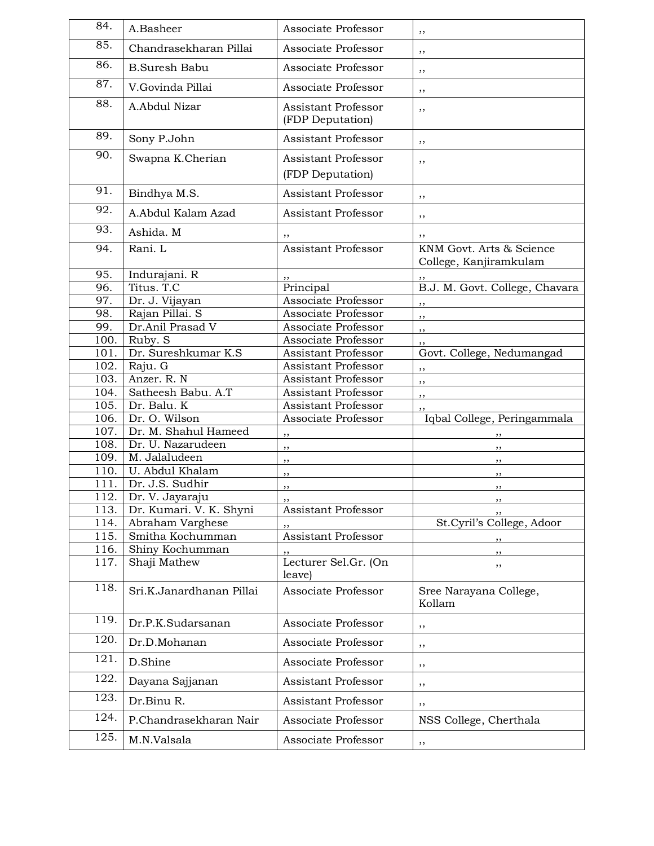| 84.  | A.Basheer                | Associate Professor                            | ,,                                                 |
|------|--------------------------|------------------------------------------------|----------------------------------------------------|
| 85.  | Chandrasekharan Pillai   | Associate Professor                            | ,,                                                 |
| 86.  | <b>B.Suresh Babu</b>     | Associate Professor                            | ,,                                                 |
| 87.  | V.Govinda Pillai         | Associate Professor                            | ,,                                                 |
| 88.  | A.Abdul Nizar            | Assistant Professor<br>(FDP Deputation)        | ,,                                                 |
| 89.  | Sony P.John              | Assistant Professor                            | ,,                                                 |
| 90.  | Swapna K.Cherian         | <b>Assistant Professor</b><br>(FDP Deputation) | ,,                                                 |
| 91.  | Bindhya M.S.             | Assistant Professor                            | ,,                                                 |
| 92.  | A.Abdul Kalam Azad       | Assistant Professor                            | ,,                                                 |
| 93.  | Ashida. M                | ,,                                             | ,,                                                 |
| 94.  | Rani. L                  | <b>Assistant Professor</b>                     | KNM Govt. Arts & Science<br>College, Kanjiramkulam |
| 95.  | Indurajani. R            |                                                |                                                    |
| 96.  | Titus. T.C               | Principal                                      | B.J. M. Govt. College, Chavara                     |
| 97.  | Dr. J. Vijayan           | Associate Professor                            | ,,                                                 |
| 98.  | Rajan Pillai. S          | Associate Professor                            | ,,                                                 |
| 99.  | Dr.Anil Prasad V         | Associate Professor                            | ,,                                                 |
| 100. | Ruby. S                  | Associate Professor                            | ,,                                                 |
| 101  | Dr. Sureshkumar K.S.     | Assistant Professor                            | Govt. College, Nedumangad                          |
| 102. | Raju. $\overline{G}$     | Assistant Professor                            | ,,                                                 |
| 103. | Anzer. R. N              | Assistant Professor                            | ,,                                                 |
| 104. | Satheesh Babu. A.T       | Assistant Professor                            | ,,                                                 |
| 105. | Dr. Balu. K              | <b>Assistant Professor</b>                     | ,,                                                 |
| 106. | Dr. O. Wilson            | Associate Professor                            | Iqbal College, Peringammala                        |
| 107. | Dr. M. Shahul Hameed     | ,,                                             | ,,                                                 |
| 108. | Dr. U. Nazarudeen        | ,,                                             | ,,                                                 |
| 109. | M. Jalaludeen            | ,,                                             | ,,                                                 |
| 110. | U. Abdul Khalam          | ,,                                             | ,,                                                 |
| 111. | Dr. J.S. Sudhir          | ,,                                             | ,,                                                 |
| 112  | Dr. V. Jayaraju          |                                                |                                                    |
| 113. | Dr. Kumari. V. K. Shyni  | Assistant Professor                            |                                                    |
| 114. | Abraham Varghese         |                                                | St.Cyril's College, Adoor                          |
| 115. | Smitha Kochumman         | Assistant Professor                            | ,,                                                 |
| 116. | Shiny Kochumman          | Lecturer Sel.Gr. (On                           | ,,                                                 |
| 117. | Shaji Mathew             | leave)                                         | ,,                                                 |
| 118. | Sri.K.Janardhanan Pillai | Associate Professor                            | Sree Narayana College,<br>Kollam                   |
| 119. | Dr.P.K.Sudarsanan        | Associate Professor                            | ,,                                                 |
| 120. | Dr.D.Mohanan             | Associate Professor                            | ,,                                                 |
| 121. | D.Shine                  | Associate Professor                            | ,,                                                 |
| 122. | Dayana Sajjanan          | Assistant Professor                            | ,,                                                 |
| 123. | Dr.Binu R.               | Assistant Professor                            | ,,                                                 |
| 124. | P.Chandrasekharan Nair   | Associate Professor                            | NSS College, Cherthala                             |
| 125. | M.N.Valsala              | Associate Professor                            | ,,                                                 |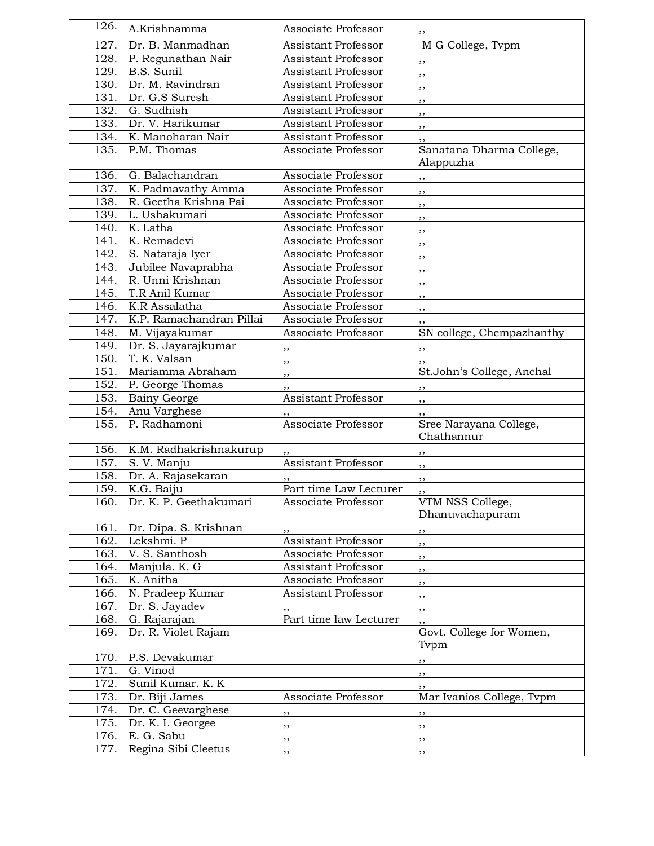| 126.                       | A.Krishnamma                           | Associate Professor                        |                                      |
|----------------------------|----------------------------------------|--------------------------------------------|--------------------------------------|
| $\overline{1}27.$          | Dr. B. Manmadhan                       | <b>Assistant Professor</b>                 | M G College, Tvpm                    |
| 128.                       | P. Regunathan Nair                     | <b>Assistant Professor</b>                 |                                      |
| 129.                       | B.S. Sunil                             | <b>Assistant Professor</b>                 | ,,                                   |
| 130.                       | Dr. M. Ravindran                       | <b>Assistant Professor</b>                 | ,,                                   |
| 131.                       | Dr. G.S Suresh                         | <b>Assistant Professor</b>                 | ,,                                   |
| 132.                       | G. Sudhish                             | Assistant Professor                        | ,,                                   |
| 133.                       | Dr. V. Harikumar                       | <b>Assistant Professor</b>                 | ,,                                   |
| 134.                       | K. Manoharan Nair                      | <b>Assistant Professor</b>                 | ,,                                   |
| 135.                       | P.M. Thomas                            | Associate Professor                        | ,,<br>Sanatana Dharma College,       |
|                            |                                        |                                            | Alappuzha                            |
| 136.                       | G. Balachandran                        | Associate Professor                        |                                      |
| 137.                       | K. Padmavathy Amma                     | Associate Professor                        | ,,                                   |
| 138.                       | R. Geetha Krishna Pai                  | Associate Professor                        | ,,                                   |
| 139.                       | L. Ushakumari                          | Associate Professor                        | , ,                                  |
| 140.                       | K. Latha                               | Associate Professor                        | ,,                                   |
| 141.                       | K. Remadevi                            | Associate Professor                        | ,,                                   |
| 142.                       | S. Nataraja Iyer                       | Associate Professor                        | ,,                                   |
|                            |                                        |                                            | ,,                                   |
| 143.<br>$\overline{1}$ 44. | Jubilee Navaprabha<br>R. Unni Krishnan | Associate Professor<br>Associate Professor | , ,                                  |
|                            |                                        |                                            | ,,                                   |
| 145.                       | T.R Anil Kumar                         | Associate Professor                        | ,,                                   |
| 146.                       | K.R Assalatha                          | Associate Professor                        | ,,                                   |
| 147.                       | K.P. Ramachandran Pillai               | Associate Professor                        |                                      |
| 148.                       | M. Vijayakumar                         | Associate Professor                        | SN college, Chempazhanthy            |
| 149.                       | Dr. S. Jayarajkumar                    | ,,                                         | ,,                                   |
| 150.                       | T. K. Valsan                           | ,,                                         |                                      |
| 151.                       | Mariamma Abraham                       | ,,                                         | St.John's College, Anchal            |
| 152.                       | P. George Thomas                       |                                            | $, \, \, \cdot$                      |
|                            |                                        |                                            |                                      |
| 153.                       | <b>Bainy George</b>                    | <b>Assistant Professor</b>                 | $\overline{\phantom{a}}$             |
| 154.                       | Anu Varghese                           |                                            | ,,                                   |
| 155.                       | P. Radhamoni                           | Associate Professor                        | Sree Narayana College,<br>Chathannur |
| 156.                       |                                        |                                            |                                      |
| 157.                       | K.M. Radhakrishnakurup<br>S. V. Manju  | <b>Assistant Professor</b>                 |                                      |
| 158.                       |                                        |                                            | ,,                                   |
|                            | Dr. A. Rajasekaran                     |                                            | ,,                                   |
| 159.                       | K.G. Baiju                             | Part time Law Lecturer                     |                                      |
|                            | 160. Dr. K. P. Geethakumari            | Associate Professor                        | VTM NSS College,<br>Dhanuvachapuram  |
| 161.                       | Dr. Dipa. S. Krishnan                  | ,,                                         |                                      |
| 162.                       | Lekshmi. P                             | <b>Assistant Professor</b>                 | $, \, \cdot$<br>,,                   |
| 163.                       | V. S. Santhosh                         | Associate Professor                        |                                      |
| 164.                       | Manjula. K. G                          | Assistant Professor                        | ,,<br>,,                             |
| 165.                       | K. Anitha                              | Associate Professor                        |                                      |
| 166.                       | N. Pradeep Kumar                       | Assistant Professor                        | ,,                                   |
|                            |                                        |                                            | , ,                                  |
| 167.                       | Dr. S. Jayadev                         |                                            | $, \,$                               |
| 168.                       | G. Rajarajan                           | Part time law Lecturer                     | , ,                                  |
| 169.                       | Dr. R. Violet Rajam                    |                                            | Govt. College for Women,<br>Tvpm     |
| 170.                       | P.S. Devakumar                         |                                            | $, \, \,$                            |
| 171.                       | G. Vinod                               |                                            | ,,                                   |
| 172.                       | Sunil Kumar. K. K                      |                                            | ,,                                   |
| 173.                       | Dr. Biji James                         | Associate Professor                        | Mar Ivanios College, Tvpm            |
| 174.                       | Dr. C. Geevarghese                     | , ,                                        | , ,                                  |
| 175.                       | Dr. K. I. Georgee                      | $, \,$                                     | ,,                                   |
| 176.<br>177.               | E. G. Sabu<br>Regina Sibi Cleetus      | ,,                                         | ,,                                   |